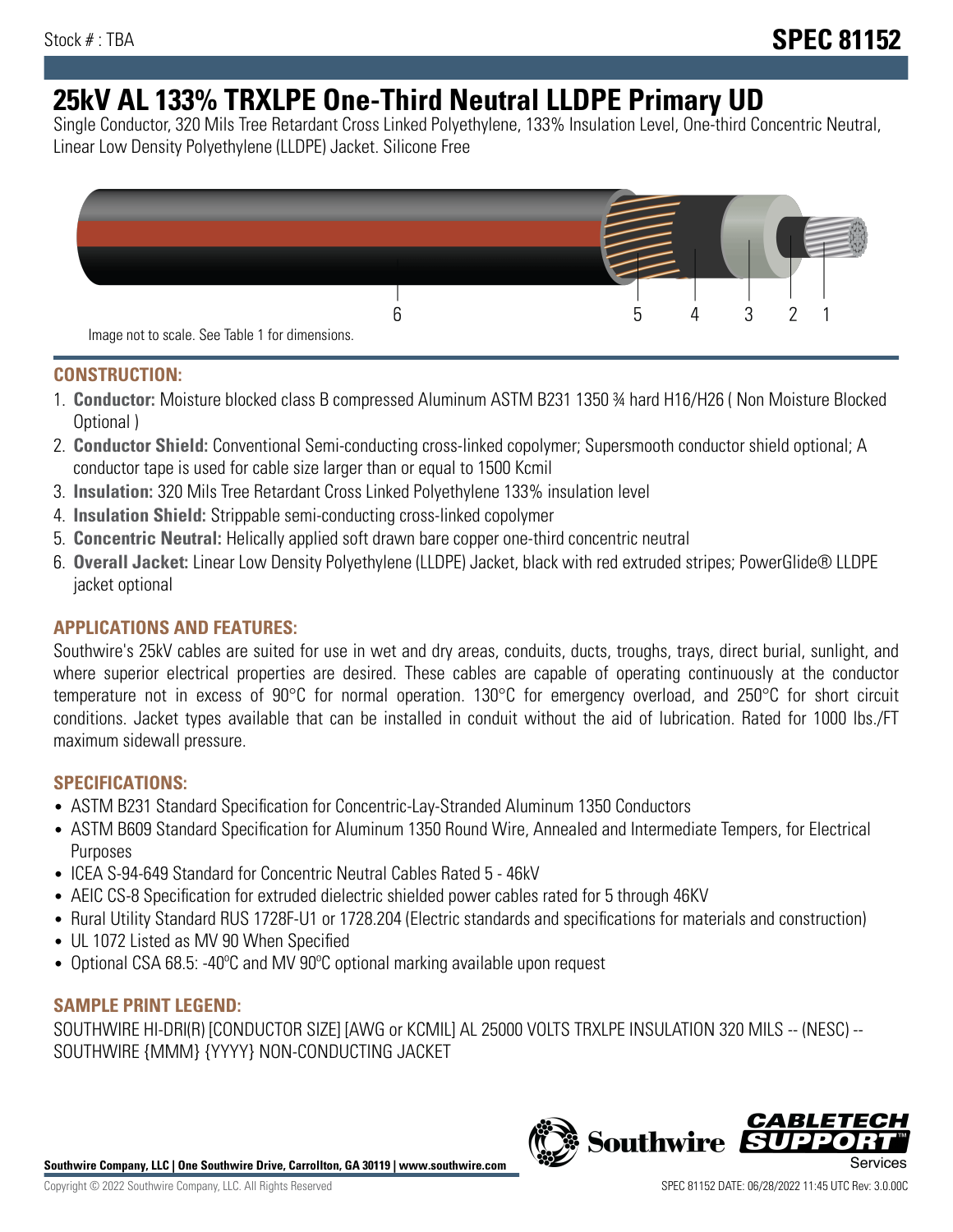# **25kV AL 133% TRXLPE One-Third Neutral LLDPE Primary UD**

Single Conductor, 320 Mils Tree Retardant Cross Linked Polyethylene, 133% Insulation Level, One-third Concentric Neutral, Linear Low Density Polyethylene (LLDPE) Jacket. Silicone Free



## **CONSTRUCTION:**

- 1. **Conductor:** Moisture blocked class B compressed Aluminum ASTM B231 1350 ¾ hard H16/H26 ( Non Moisture Blocked Optional )
- 2. **Conductor Shield:** Conventional Semi-conducting cross-linked copolymer; Supersmooth conductor shield optional; A conductor tape is used for cable size larger than or equal to 1500 Kcmil
- 3. **Insulation:** 320 Mils Tree Retardant Cross Linked Polyethylene 133% insulation level
- 4. **Insulation Shield:** Strippable semi-conducting cross-linked copolymer
- 5. **Concentric Neutral:** Helically applied soft drawn bare copper one-third concentric neutral
- 6. **Overall Jacket:** Linear Low Density Polyethylene (LLDPE) Jacket, black with red extruded stripes; PowerGlide® LLDPE jacket optional

# **APPLICATIONS AND FEATURES:**

Southwire's 25kV cables are suited for use in wet and dry areas, conduits, ducts, troughs, trays, direct burial, sunlight, and where superior electrical properties are desired. These cables are capable of operating continuously at the conductor temperature not in excess of 90°C for normal operation. 130°C for emergency overload, and 250°C for short circuit conditions. Jacket types available that can be installed in conduit without the aid of lubrication. Rated for 1000 lbs./FT maximum sidewall pressure.

## **SPECIFICATIONS:**

- ASTM B231 Standard Specification for Concentric-Lay-Stranded Aluminum 1350 Conductors
- ASTM B609 Standard Specification for Aluminum 1350 Round Wire, Annealed and Intermediate Tempers, for Electrical Purposes
- ICEA S-94-649 Standard for Concentric Neutral Cables Rated 5 46kV
- AEIC CS-8 Specification for extruded dielectric shielded power cables rated for 5 through 46KV
- Rural Utility Standard RUS 1728F-U1 or 1728.204 (Electric standards and specifications for materials and construction)
- UL 1072 Listed as MV 90 When Specified
- Optional CSA 68.5: -40ºC and MV 90ºC optional marking available upon request

## **SAMPLE PRINT LEGEND:**

SOUTHWIRE HI-DRI(R) [CONDUCTOR SIZE] [AWG or KCMIL] AL 25000 VOLTS TRXLPE INSULATION 320 MILS -- (NESC) -- SOUTHWIRE {MMM} {YYYY} NON-CONDUCTING JACKET

**Southwire Company, LLC | One Southwire Drive, Carrollton, GA 30119 | www.southwire.com**